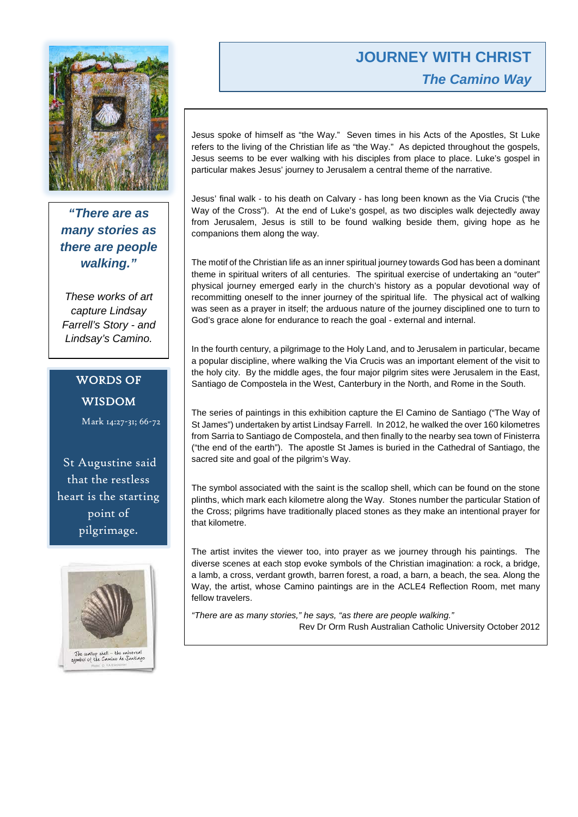# **JOURNEY WITH CHRIST** *The Camino Way*



*"There are as many stories as there are people walking."*

*These works of art capture Lindsay Farrell's Story - and Lindsay's Camino.*

# WORDS OF WISDOM

Mark 14:27-31; 66-72

St Augustine said that the restless heart is the starting point of pilgrimage.



Jesus spoke of himself as "the Way." Seven times in his Acts of the Apostles, St Luke refers to the living of the Christian life as "the Way." As depicted throughout the gospels, Jesus seems to be ever walking with his disciples from place to place. Luke's gospel in particular makes Jesus' journey to Jerusalem a central theme of the narrative.

Jesus' final walk - to his death on Calvary - has long been known as the Via Crucis ("the Way of the Cross"). At the end of Luke's gospel, as two disciples walk dejectedly away from Jerusalem, Jesus is still to be found walking beside them, giving hope as he companions them along the way.

The motif of the Christian life as an inner spiritual journey towards God has been a dominant theme in spiritual writers of all centuries. The spiritual exercise of undertaking an "outer" physical journey emerged early in the church's history as a popular devotional way of recommitting oneself to the inner journey of the spiritual life. The physical act of walking was seen as a prayer in itself; the arduous nature of the journey disciplined one to turn to God's grace alone for endurance to reach the goal - external and internal.

In the fourth century, a pilgrimage to the Holy Land, and to Jerusalem in particular, became a popular discipline, where walking the Via Crucis was an important element of the visit to the holy city. By the middle ages, the four major pilgrim sites were Jerusalem in the East, Santiago de Compostela in the West, Canterbury in the North, and Rome in the South.

The series of paintings in this exhibition capture the El Camino de Santiago ("The Way of St James") undertaken by artist Lindsay Farrell. In 2012, he walked the over 160 kilometres from Sarria to Santiago de Compostela, and then finally to the nearby sea town of Finisterra ("the end of the earth"). The apostle St James is buried in the Cathedral of Santiago, the sacred site and goal of the pilgrim's Way.

The symbol associated with the saint is the scallop shell, which can be found on the stone plinths, which mark each kilometre along the Way. Stones number the particular Station of the Cross; pilgrims have traditionally placed stones as they make an intentional prayer for that kilometre.

The artist invites the viewer too, into prayer as we journey through his paintings. The diverse scenes at each stop evoke symbols of the Christian imagination: a rock, a bridge, a lamb, a cross, verdant growth, barren forest, a road, a barn, a beach, the sea. Along the Way, the artist, whose Camino paintings are in the ACLE4 Reflection Room, met many fellow travelers.

*"There are as many stories," he says, "as there are people walking."* Rev Dr Orm Rush Australian Catholic University October 2012